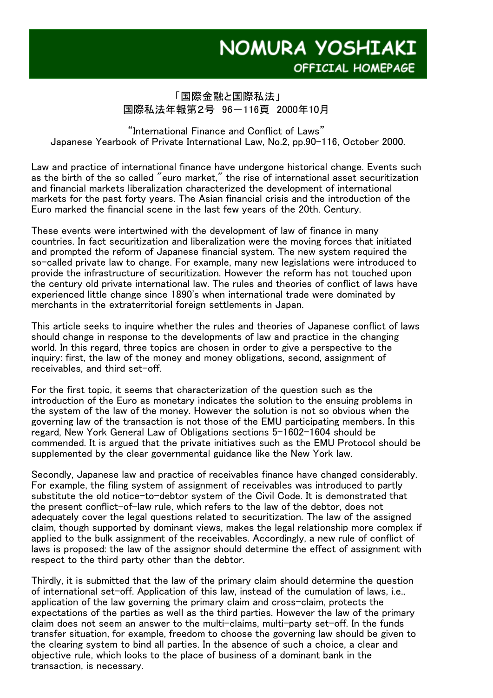## 「国際金融と国際私法」 国際私法年報第2号 96-116頁 2000年10月

"International Finance and Conflict of Laws" Japanese Yearbook of Private International Law, No.2, pp.90-116, October 2000.

Law and practice of international finance have undergone historical change. Events such as the birth of the so called "euro market," the rise of international asset securitization and financial markets liberalization characterized the development of international markets for the past forty years. The Asian financial crisis and the introduction of the Euro marked the financial scene in the last few years of the 20th. Century.

These events were intertwined with the development of law of finance in many countries. In fact securitization and liberalization were the moving forces that initiated and prompted the reform of Japanese financial system. The new system required the so-called private law to change. For example, many new legislations were introduced to provide the infrastructure of securitization. However the reform has not touched upon the century old private international law. The rules and theories of conflict of laws have experienced little change since 1890's when international trade were dominated by merchants in the extraterritorial foreign settlements in Japan.

This article seeks to inquire whether the rules and theories of Japanese conflict of laws should change in response to the developments of law and practice in the changing world. In this regard, three topics are chosen in order to give a perspective to the inquiry: first, the law of the money and money obligations, second, assignment of receivables, and third set-off.

For the first topic, it seems that characterization of the question such as the introduction of the Euro as monetary indicates the solution to the ensuing problems in the system of the law of the money. However the solution is not so obvious when the governing law of the transaction is not those of the EMU participating members. In this regard, New York General Law of Obligations sections 5-1602-1604 should be commended. It is argued that the private initiatives such as the EMU Protocol should be supplemented by the clear governmental guidance like the New York law.

Secondly, Japanese law and practice of receivables finance have changed considerably. For example, the filing system of assignment of receivables was introduced to partly substitute the old notice-to-debtor system of the Civil Code. It is demonstrated that the present conflict-of-law rule, which refers to the law of the debtor, does not adequately cover the legal questions related to securitization. The law of the assigned claim, though supported by dominant views, makes the legal relationship more complex if applied to the bulk assignment of the receivables. Accordingly, a new rule of conflict of laws is proposed: the law of the assignor should determine the effect of assignment with respect to the third party other than the debtor.

Thirdly, it is submitted that the law of the primary claim should determine the question of international set-off. Application of this law, instead of the cumulation of laws, i.e., application of the law governing the primary claim and cross-claim, protects the expectations of the parties as well as the third parties. However the law of the primary claim does not seem an answer to the multi-claims, multi-party set-off. In the funds transfer situation, for example, freedom to choose the governing law should be given to the clearing system to bind all parties. In the absence of such a choice, a clear and objective rule, which looks to the place of business of a dominant bank in the transaction, is necessary.